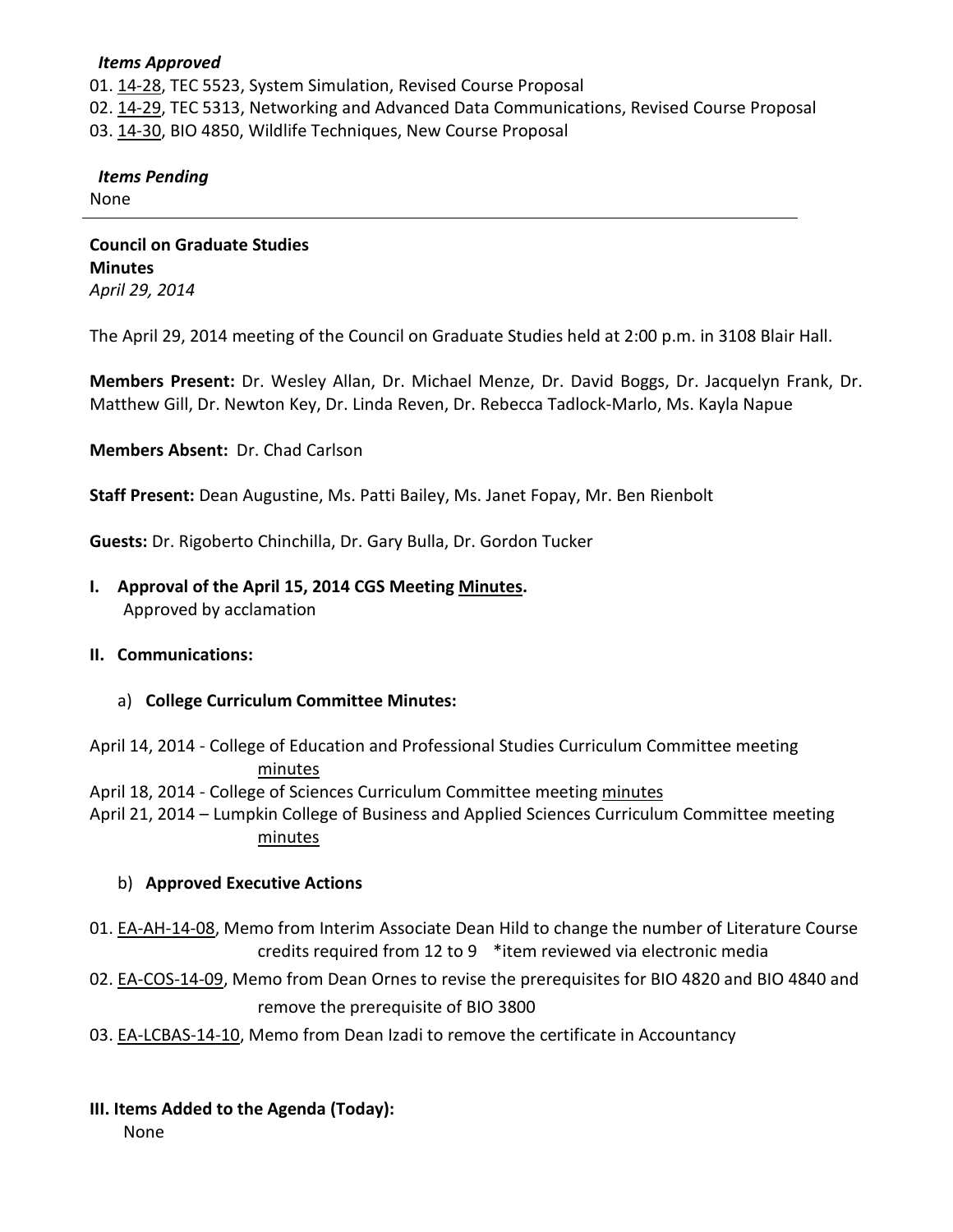#### *Items Approved*

01. [14-28,](http://castle.eiu.edu/~eiucgs/currentagendaitems/agenda14-28.pdf) TEC 5523, System Simulation, Revised Course Proposal 02. [14-29,](http://castle.eiu.edu/~eiucgs/currentagendaitems/agenda14-29.pdf) TEC 5313, Networking and Advanced Data Communications, Revised Course Proposal 03. [14-30,](http://castle.eiu.edu/~eiucgs/currentagendaitems/agenda14-30.pdf) BIO 4850, Wildlife Techniques, New Course Proposal

### *Items Pending*

None

**Council on Graduate Studies Minutes** *April 29, 2014*

The April 29, 2014 meeting of the Council on Graduate Studies held at 2:00 p.m. in 3108 Blair Hall.

**Members Present:** Dr. Wesley Allan, Dr. Michael Menze, Dr. David Boggs, Dr. Jacquelyn Frank, Dr. Matthew Gill, Dr. Newton Key, Dr. Linda Reven, Dr. Rebecca Tadlock-Marlo, Ms. Kayla Napue

**Members Absent:** Dr. Chad Carlson

**Staff Present:** Dean Augustine, Ms. Patti Bailey, Ms. Janet Fopay, Mr. Ben Rienbolt

**Guests:** Dr. Rigoberto Chinchilla, Dr. Gary Bulla, Dr. Gordon Tucker

**I. Approval of the April 15, 2014 CGS Meetin[g Minutes.](http://castle.eiu.edu/eiucgs/currentminutes/Minutes04-15-14.pdf)** Approved by acclamation

#### **II. Communications:**

a) **College Curriculum Committee Minutes:**

April 14, 2014 - College of Education and Professional Studies Curriculum Committee meeting [minutes](http://castle.eiu.edu/~eiucgs/currentagendaitems/CEPSMin04-14-14.pdf)

April 18, 2014 - College of Sciences Curriculum Committee meetin[g minutes](http://castle.eiu.edu/~eiucgs/currentagendaitems/COSMin04-18-14.pdf)

April 21, 2014 – Lumpkin College of Business and Applied Sciences Curriculum Committee meeting [minutes](http://castle.eiu.edu/~eiucgs/currentagendaitems/LCBASMin04-21-14.pdf)

#### b) **Approved Executive Actions**

- 01. [EA-AH-14-08,](https://panthermail.eiu.edu/service/home/~/?auth=co&loc=en_US&id=75500&part=2) Memo from Interim Associate Dean Hild to change the number of Literature Course credits required from 12 to 9 \*item reviewed via electronic media
- 02. [EA-COS-14-09,](http://castle.eiu.edu/~eiucgs/exec-actions/EA-COS-14-09.pdf) Memo from Dean Ornes to revise the prerequisites for BIO 4820 and BIO 4840 and remove the prerequisite of BIO 3800
- 03. [EA-LCBAS-14-10,](http://castle.eiu.edu/~eiucgs/exec-actions/EA-LCBAS-14-10.pdf) Memo from Dean Izadi to remove the certificate in Accountancy
- **III. Items Added to the Agenda (Today):**

None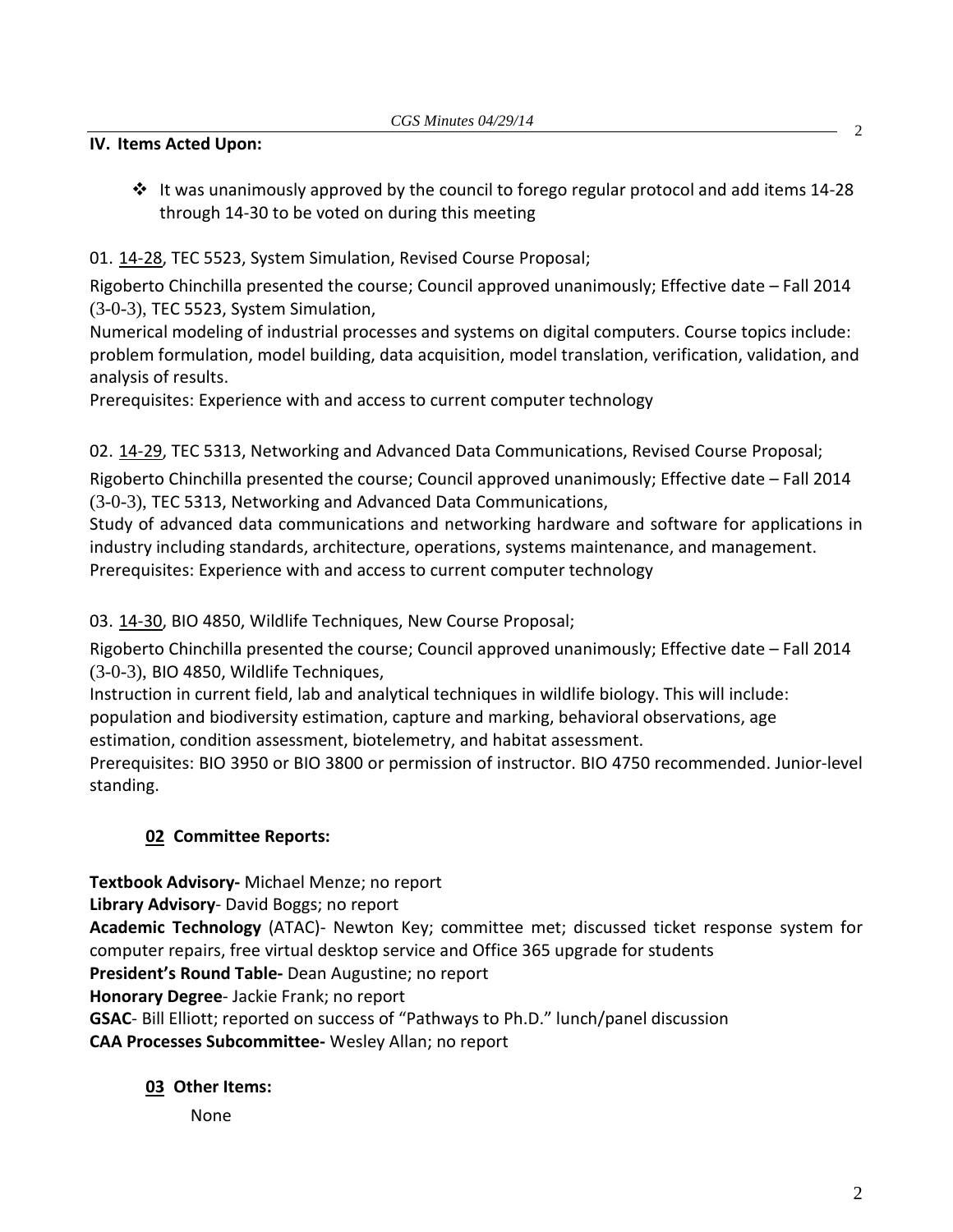### **IV. Items Acted Upon:**

 $\cdot \cdot$  It was unanimously approved by the council to forego regular protocol and add items 14-28 through 14-30 to be voted on during this meeting

## 01. [14-28,](http://castle.eiu.edu/~eiucgs/currentagendaitems/agenda14-28.pdf) TEC 5523, System Simulation, Revised Course Proposal;

Rigoberto Chinchilla presented the course; Council approved unanimously; Effective date – Fall 2014 (3-0-3), TEC 5523, System Simulation,

Numerical modeling of industrial processes and systems on digital computers. Course topics include: problem formulation, model building, data acquisition, model translation, verification, validation, and analysis of results.

Prerequisites: Experience with and access to current computer technology

02. [14-29,](http://castle.eiu.edu/~eiucgs/currentagendaitems/agenda14-29.pdf) TEC 5313, Networking and Advanced Data Communications, Revised Course Proposal;

Rigoberto Chinchilla presented the course; Council approved unanimously; Effective date – Fall 2014 (3-0-3), TEC 5313, Networking and Advanced Data Communications,

Study of advanced data communications and networking hardware and software for applications in industry including standards, architecture, operations, systems maintenance, and management. Prerequisites: Experience with and access to current computer technology

### 03. [14-30,](http://castle.eiu.edu/~eiucgs/currentagendaitems/agenda14-30.pdf) BIO 4850, Wildlife Techniques, New Course Proposal;

Rigoberto Chinchilla presented the course; Council approved unanimously; Effective date – Fall 2014 (3-0-3), BIO 4850, Wildlife Techniques,

Instruction in current field, lab and analytical techniques in wildlife biology. This will include: population and biodiversity estimation, capture and marking, behavioral observations, age

estimation, condition assessment, biotelemetry, and habitat assessment.

Prerequisites: BIO 3950 or BIO 3800 or permission of instructor. BIO 4750 recommended. Junior-level standing.

# **02 Committee Reports:**

**Textbook Advisory-** Michael Menze; no report

**Library Advisory**- David Boggs; no report

**Academic Technology** (ATAC)- Newton Key; committee met; discussed ticket response system for computer repairs, free virtual desktop service and Office 365 upgrade for students

**President's Round Table-** Dean Augustine; no report

**Honorary Degree**- Jackie Frank; no report

**GSAC**- Bill Elliott; reported on success of "Pathways to Ph.D." lunch/panel discussion

**CAA Processes Subcommittee-** Wesley Allan; no report

# **03 Other Items:**

None